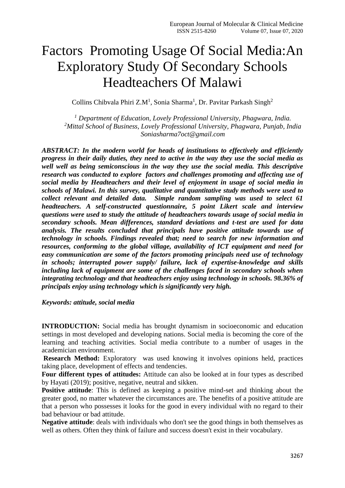# Factors Promoting Usage Of Social Media:An Exploratory Study Of Secondary Schools Headteachers Of Malawi

Collins Chibvala Phiri Z.M<sup>1</sup>, Sonia Sharma<sup>1</sup>, Dr. Pavitar Parkash Singh<sup>2</sup>

*<sup>1</sup> Department of Education, Lovely Professional University, Phagwara, India. <sup>2</sup>Mittal School of Business, Lovely Professional University, Phagwara, Punjab, India Soniasharma7oct@gmail.com*

*ABSTRACT: In the modern world for heads of institutions to effectively and efficiently progress in their daily duties, they need to active in the way they use the social media as well well as being semiconscious in the way they use the social media. This descriptive research was conducted to explore factors and challenges promoting and affecting use of social media by Headteachers and their level of enjoyment in usage of social media in schools of Malawi. In this survey, qualitative and quantitative study methods were used to collect relevant and detailed data. Simple random sampling was used to select 61 headteachers. A self-constructed questionnaire, 5 point Likert scale and interview questions were used to study the attitude of headteachers towards usage of social media in secondary schools. Mean differences, standard deviations and t-test are used for data analysis. The results concluded that principals have positive attitude towards use of technology in schools. Findings revealed that; need to search for new information and resources, conforming to the global village, availability of ICT equipment and need for easy communication are some of the factors promoting principals need use of technology in schools; interrupted power supply/ failure, lack of expertise-knowledge and skills including lack of equipment are some of the challenges faced in secondary schools when integrating technology and that headteachers enjoy using technology in schools. 98.36% of principals enjoy using technology which is significantly very high.*

*Keywords: attitude, social media*

**INTRODUCTION:** Social media has brought dynamism in socioeconomic and education settings in most developed and developing nations. Social media is becoming the core of the learning and teaching activities. Social media contribute to a number of usages in the academician environment.

**Research Method:** Exploratory was used knowing it involves opinions held, practices taking place, development of effects and tendencies.

**Four different types of attitudes:** Attitude can also be looked at in four types as described by Hayati (2019); positive, negative, neutral and sikken.

**Positive attitude**: This is defined as keeping a positive mind-set and thinking about the greater good, no matter whatever the circumstances are. The benefits of a positive attitude are that a person who possesses it looks for the good in every individual with no regard to their bad behaviour or bad attitude.

**Negative attitude**: deals with individuals who don't see the good things in both themselves as well as others. Often they think of failure and success doesn't exist in their vocabulary.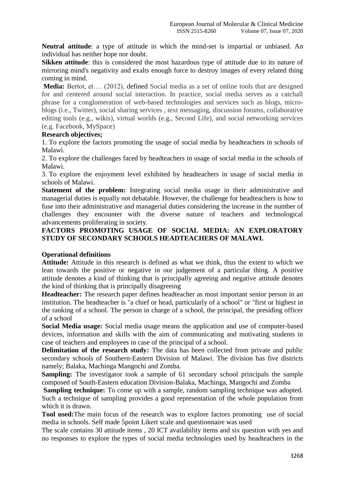**Neutral attitude**: a type of attitude in which the mind-set is impartial or unbiased. An individual has neither hope nor doubt.

**Sikken attitude**: this is considered the most hazardous type of attitude due to its nature of mirroring mind's negativity and exalts enough force to destroy images of every related thing coming in mind.

**Media:** Bertot, et…. (2012), defined Social media as a set of online tools that are designed for and centered around social interaction. In practice, social media serves as a catchall phrase for a conglomeration of web-based technologies and services such as blogs, microblogs (i.e., Twitter), social sharing services , text messaging, discussion forums, collaborative editing tools (e.g., wikis), virtual worlds (e.g., Second Life), and social networking services (e.g. Facebook, MySpace)

### **Research objectives;**

1. To explore the factors promoting the usage of social media by headteachers in schools of Malawi.

2. To explore the challenges faced by headteachers in usage of social media in the schools of Malawi.

3. To explore the enjoyment level exhibited by headteachers in usage of social media in schools of Malawi.

**Statement of the problem:** Integrating social media usage in their administrative and managerial duties is equally not debatable. However, the challenge for headteachers is how to fuse into their administrative and managerial duties considering the increase in the number of challenges they encounter with the diverse nature of teachers and technological advancements proliferating in society.

## **FACTORS PROMOTING USAGE OF SOCIAL MEDIA: AN EXPLORATORY STUDY OF SECONDARY SCHOOLS HEADTEACHERS OF MALAWI.**

### **Operational definitions**

**Attitude:** Attitude in this research is defined as what we think, thus the extent to which we lean towards the positive or negative in our judgement of a particular thing. A positive attitude denotes a kind of thinking that is principally agreeing and negative attitude denotes the kind of thinking that is principally disagreeing

**Headteacher:** The research paper defines headteacher as most important senior person in an institution. The headteacher is "a chief or head, particularly of a school" or "first or highest in the ranking of a school. The person in charge of a school, the principal, the presiding officer of a school

**Social Media usage:** Social media usage means the application and use of computer-based devices, information and skills with the aim of communicating and motivating students in case of teachers and employees in case of the principal of a school.

**Delimitation of the research study:** The data has been collected from private and public secondary schools of Southern-Eastern Division of Malawi. The division has five districts namely; Balaka, Machinga Mangochi and Zomba.

**Sampling:** The investigator took a sample of 61 secondary school principals the sample composed of South-Eastern education Division-Balaka, Machinga, Mangochi and Zomba

**Sampling technique:** To come up with a sample, random sampling technique was adopted. Such a technique of sampling provides a good representation of the whole population from which it is drawn.

**Tool used:**The main focus of the research was to explore factors promoting use of social media in schools. Self made 5point Likert scale and questionnaire was used

The scale contains 30 attitude items , 20 ICT availability items and six question with yes and no responses to explore the types of social media technologies used by headteachers in the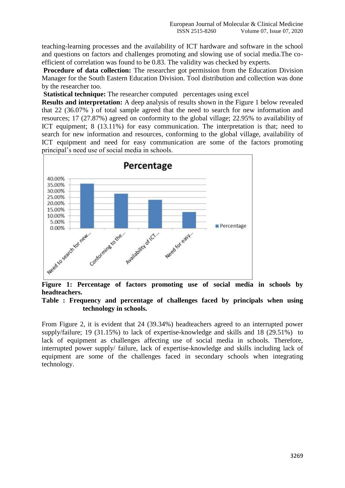teaching-learning processes and the availability of ICT hardware and software in the school and questions on factors and challenges promoting and slowing use of social media.The coefficient of correlation was found to be 0.83. The validity was checked by experts.

**Procedure of data collection:** The researcher got permission from the Education Division Manager for the South Eastern Education Division. Tool distribution and collection was done by the researcher too.

**Statistical technique:** The researcher computed percentages using excel

**Results and interpretation:** A deep analysis of results shown in the Figure 1 below revealed that 22 (36.07% ) of total sample agreed that the need to search for new information and resources; 17 (27.87%) agreed on conformity to the global village; 22.95% to availability of ICT equipment; 8 (13.11%) for easy communication. The interpretation is that; need to search for new information and resources, conforming to the global village, availability of ICT equipment and need for easy communication are some of the factors promoting principal's need use of social media in schools.



**Figure 1: Percentage of factors promoting use of social media in schools by headteachers.**

### **Table : Frequency and percentage of challenges faced by principals when using technology in schools.**

From Figure 2, it is evident that 24 (39.34%) headteachers agreed to an interrupted power supply/failure; 19 (31.15%) to lack of expertise-knowledge and skills and 18 (29.51%) to lack of equipment as challenges affecting use of social media in schools. Therefore, interrupted power supply/ failure, lack of expertise-knowledge and skills including lack of equipment are some of the challenges faced in secondary schools when integrating technology.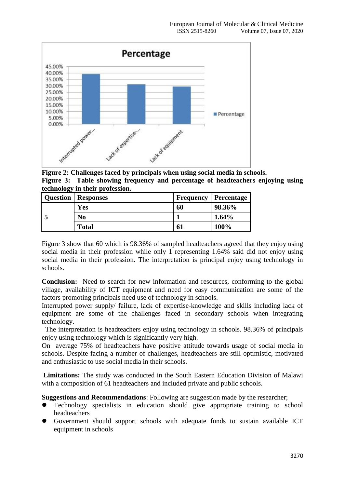

**Figure 2: Challenges faced by principals when using social media in schools. Figure 3: Table showing frequency and percentage of headteachers enjoying using technology in their profession.**

| <b>Question</b> | Responses    | Frequency | <b>Percentage</b> |
|-----------------|--------------|-----------|-------------------|
|                 | Yes          | 60        | 98.36%            |
|                 | No           |           | $1.64\%$          |
|                 | <b>Total</b> | 61        | 100%              |

Figure 3 show that 60 which is 98.36% of sampled headteachers agreed that they enjoy using social media in their profession while only 1 representing 1.64% said did not enjoy using social media in their profession. The interpretation is principal enjoy using technology in schools.

**Conclusion:** Need to search for new information and resources, conforming to the global village, availability of ICT equipment and need for easy communication are some of the factors promoting principals need use of technology in schools.

Interrupted power supply/ failure, lack of expertise-knowledge and skills including lack of equipment are some of the challenges faced in secondary schools when integrating technology.

 The interpretation is headteachers enjoy using technology in schools. 98.36% of principals enjoy using technology which is significantly very high.

On average 75% of headteachers have positive attitude towards usage of social media in schools. Despite facing a number of challenges, headteachers are still optimistic, motivated and enthusiastic to use social media in their schools.

**Limitations:** The study was conducted in the South Eastern Education Division of Malawi with a composition of 61 headteachers and included private and public schools.

**Suggestions and Recommendations**: Following are suggestion made by the researcher;

- Technology specialists in education should give appropriate training to school headteachers
- Government should support schools with adequate funds to sustain available ICT equipment in schools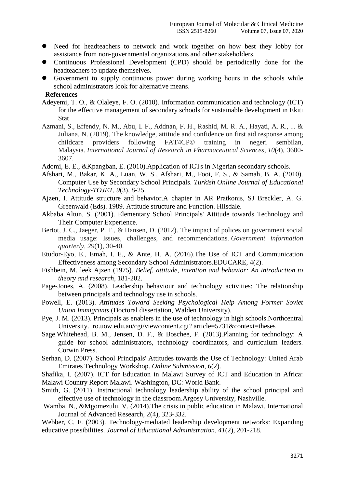- Need for headteachers to network and work together on how best they lobby for assistance from non-governmental organizations and other stakeholders.
- Continuous Professional Development (CPD) should be periodically done for the headteachers to update themselves.
- Government to supply continuous power during working hours in the schools while school administrators look for alternative means.

#### **References**

- Adeyemi, T. O., & Olaleye, F. O. (2010). Information communication and technology (ICT) for the effective management of secondary schools for sustainable development in Ekiti **Stat**
- Azmani, S., Effendy, N. M., Abu, I. F., Addnan, F. H., Rashid, M. R. A., Hayati, A. R., ... & Juliana, N. (2019). The knowledge, attitude and confidence on first aid response among childcare providers following FAT4CP© training in negeri sembilan, Malaysia. *International Journal of Research in Pharmaceutical Sciences*, *10*(4), 3600- 3607.
- Adomi, E. E., &Kpangban, E. (2010).Application of ICTs in Nigerian secondary schools.
- Afshari, M., Bakar, K. A., Luan, W. S., Afshari, M., Fooi, F. S., & Samah, B. A. (2010). Computer Use by Secondary School Principals. *Turkish Online Journal of Educational Technology-TOJET*, *9*(3), 8-25.
- Ajzen, I. Attitude structure and behavior.A chapter in AR Pratkonis, SJ Breckler, A. G. Greenwald (Eds). 1989. Attitude structure and Function. Hilsdale.
- Akbaba Altun, S. (2001). Elementary School Principals' Attitude towards Technology and Their Computer Experience.
- Bertot, J. C., Jaeger, P. T., & Hansen, D. (2012). The impact of polices on government social media usage: Issues, challenges, and recommendations. *Government information quarterly*, *29*(1), 30-40.
- Etudor-Eyo, E., Emah, I. E., & Ante, H. A. (2016).The Use of ICT and Communication Effectiveness among Secondary School Administrators.EDUCARE, 4(2).
- Fishbein, M. leek Ajzen (1975). *Belief, attitude, intention and behavior: An introduction to theory and research*, 181-202.
- Page-Jones, A. (2008). Leadership behaviour and technology activities: The relationship between principals and technology use in schools.
- Powell, E. (2013). *Attitudes Toward Seeking Psychological Help Among Former Soviet Union Immigrants* (Doctoral dissertation, Walden University).
- Pye, J. M. (2013). Principals as enablers in the use of technology in high schools.Northcentral University. ro.uow.edu.au/cgi/viewcontent.cgi? article=5731&context=theses
- Sage.Whitehead, B. M., Jensen, D. F., & Boschee, F. (2013).Planning for technology: A guide for school administrators, technology coordinators, and curriculum leaders. Corwin Press.
- Serhan, D. (2007). School Principals' Attitudes towards the Use of Technology: United Arab Emirates Technology Workshop. *Online Submission*, *6*(2).

Shafika, I. (2007). ICT for Education in Malawi Survey of ICT and Education in Africa: Malawi Country Report Malawi. Washington, DC: World Bank.

- Smith, G. (2011). Instructional technology leadership ability of the school principal and effective use of technology in the classroom.Argosy University, Nashville.
- Wamba, N., &Mgomezulu, V. (2014).The crisis in public education in Malawi. International Journal of Advanced Research, 2(4), 323-332.

Webber, C. F. (2003). Technology-mediated leadership development networks: Expanding educative possibilities. *Journal of Educational Administration*, *41*(2), 201-218.